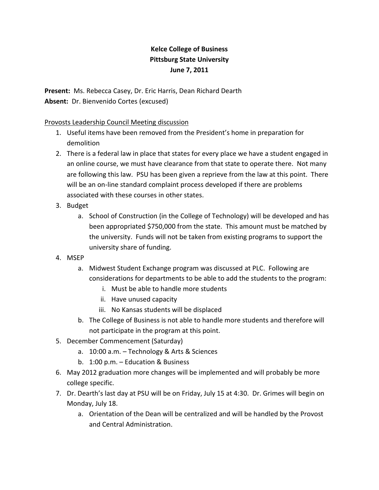## **Kelce College of Business Pittsburg State University June 7, 2011**

**Present:** Ms. Rebecca Casey, Dr. Eric Harris, Dean Richard Dearth **Absent:** Dr. Bienvenido Cortes (excused)

## Provosts Leadership Council Meeting discussion

- 1. Useful items have been removed from the President's home in preparation for demolition
- 2. There is a federal law in place that states for every place we have a student engaged in an online course, we must have clearance from that state to operate there. Not many are following this law. PSU has been given a reprieve from the law at this point. There will be an on-line standard complaint process developed if there are problems associated with these courses in other states.
- 3. Budget
	- a. School of Construction (in the College of Technology) will be developed and has been appropriated \$750,000 from the state. This amount must be matched by the university. Funds will not be taken from existing programs to support the university share of funding.
- 4. MSEP
	- a. Midwest Student Exchange program was discussed at PLC. Following are considerations for departments to be able to add the students to the program:
		- i. Must be able to handle more students
		- ii. Have unused capacity
		- iii. No Kansas students will be displaced
	- b. The College of Business is not able to handle more students and therefore will not participate in the program at this point.
- 5. December Commencement (Saturday)
	- a. 10:00 a.m. Technology & Arts & Sciences
	- b. 1:00 p.m. Education & Business
- 6. May 2012 graduation more changes will be implemented and will probably be more college specific.
- 7. Dr. Dearth's last day at PSU will be on Friday, July 15 at 4:30. Dr. Grimes will begin on Monday, July 18.
	- a. Orientation of the Dean will be centralized and will be handled by the Provost and Central Administration.